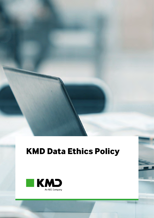# **KMD Data Ethics Policy**

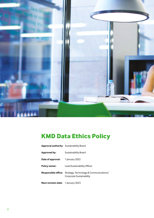

# **KMD Data Ethics Policy**

| <b>Approval authority:</b> Sustainability Board |                                                                                               |
|-------------------------------------------------|-----------------------------------------------------------------------------------------------|
| Approved by:                                    | <b>Sustainability Board</b>                                                                   |
| <b>Date of approval:</b> 1 January 2022         |                                                                                               |
| <b>Policy owner:</b>                            | Lead Sustainability Officer                                                                   |
|                                                 | <b>Responsible office:</b> Strategy, Technology & Communications/<br>Corporate Sustainability |
| <b>Next revision date:</b> 1 January 2023       |                                                                                               |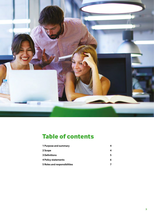

# **Table of contents**

| 1 Purpose and summary        |  |
|------------------------------|--|
| 2 Scope                      |  |
| <b>3 Definitions</b>         |  |
| 4 Policy statements          |  |
| 5 Roles and responsibilities |  |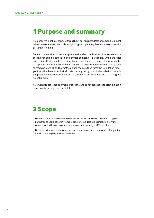### **1 Purpose and summary**

KMD believes in ethical conduct throughout our business. Data are among our most valued assets and we take pride in digitizing and operating data in our solutions with data ethics in mind.

Data ethical considerations are a prerequisite when our business involves data processing for public authorities and private companies, particularly when the data processing affects people's everyday lives. It becomes even more relevant when the data processing also includes data science and artificial intelligence in forms such as machine learning and biometrics, since the data then form the foundation for algorithms that learn from historic data. Having the right ethical mindset will enable the potential to learn from data, at the same time as observing and mitigating the potential risks.

KMD wants to act responsibly and ensure that we do not contribute to discrimination or inequality through our use of data.

## **2 Scope**

- Data ethics impacts every employee at KMD as well as KMD's customers, suppliers, partners and users of our systems. Ultimately, our data ethics impacts everyone who uses a KMD solution or whose data are processed by a KMD solution.
- Data ethics impacts the way we develop our solutions and the way we act regarding data in our everyday business activities.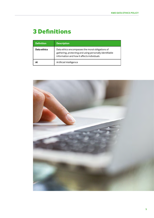# **3 Definitions**

| <b>Definition</b> | <b>Description</b>                                                                                                                                        |
|-------------------|-----------------------------------------------------------------------------------------------------------------------------------------------------------|
| Data ethics       | Data ethics encompasses the moral obligations of<br>gathering, protecting and using personally identifiable<br>information and how it affects individuals |
| ΔI                | Artificial Intelligence                                                                                                                                   |

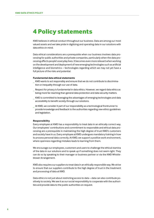### **4 Policy statements**

KMD believes in ethical conduct throughout our business. Data are among our most valued assets and we take pride in digitizing and operating data in our solutions with data ethics in mind.

Data ethical considerations are a prerequisite when our business involves data processing for public authorities and private companies, particularly when the data processing affects people's everyday lives. It becomes even more relevant when working on the development and deployment of new emerging technologies such as artificial intelligence and biometrics – technologies regarding which we may not yet have a full picture of the risks and potential.

#### **Fundamental data ethical statements**

- KMD wants to act responsibly and ensure that we do not contribute to discrimination or inequality through our use of data.
- Respect for privacy is fundamental in data ethics. However, we regard data ethics as being more far-reaching than general data protection and data security matters.
- KMD is committed to leveraging the advantages of emerging technologies and data accessibility to benefit society through our solutions.
- At KMD, we consider it part of our responsibility as a technological frontrunner to provide knowledge and feedback to the authorities regarding new ethics guidelines and legislation.

#### **Responsibility**

Every employee at KMD has a responsibility to treat data in an ethically correct way. Our employees' contributions and commitment to responsible and ethical data processing are a prerequisite in maintaining the high degree of trust KMD's customers and society have in us. Every employee at KMD undergoes mandatory training in how to process personal data correctly. At KMD, we support a positive work environment, where openness regarding mistakes leads to learning from them.

We encourage our employees, customers and users to challenge the ethical stamina of the data in our solutions and to speak up if something does not seem right. They can do so by speaking to their manager or business partner or via the KMD Whistleblower Arrangement.

KMD also requires our suppliers to treat data in an ethically responsible way. We strive to ensure that our suppliers contribute to the high degree of trust in the treatment and processing of data at KMD.

Data ethics is not just about restricting access to data – data can also contribute positively to society. We see it as our social responsibility to cooperate with the authorities and provide data to the public authorities on request.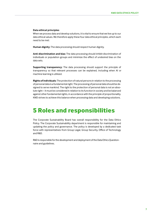#### **Data ethical principles**

When we process data and develop solutions, it is vital to ensure that we live up to our data ethical values. We therefore apply these four data ethical principles, which each need to be met:

**Human dignity:** The data processing should respect human dignity.

**Anti-discrimination and bias:** The data processing should inhibit discrimination of individuals or population groups and minimize the effect of undesired bias on the data sets.

**Supporting transparency:** The data processing should support the principle of transparency so that relevant processes can be explained, including when AI or machine learning is utilized.

**Rights of individuals:** The protection of natural persons in relation to the processing of personal data is a fundamental right. The processing of personal data should be designed to serve mankind. The right to the protection of personal data is not an absolute right – it must be considered in relation to its function in society and be balanced against other fundamental rights, in accordance with the principle of proportionality. KMD strives to achieve this balance when processing data and developing solutions.

### **5 Roles and responsibilities**

The Corporate Sustainability Board has overall responsibility for the Data Ethics Policy. The Corporate Sustainability department is responsible for maintaining and updating the policy and governance. The policy is developed by a dedicated task force with representatives from Group Legal, Group Security, Office of Technology and R&D.

R&D is responsible for the development and deployment of the Data Ethics Questionnaire and guidelines.